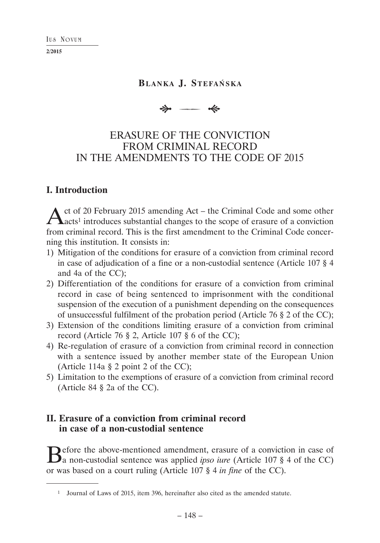**2/2015**

### **BLANKA J. STEFAŃSKA**

 $\frac{1}{2}$  -  $\frac{1}{2}$ 

# ERASURE OF THE CONVICTION FROM CRIMINAL RECORD IN THE AMENDMENTS TO THE CODE OF 2015

### **I. Introduction**

Act of 20 February 2015 amending Act – the Criminal Code and some other acts<sup>1</sup> introduces substantial changes to the scope of erasure of a conviction from criminal record. This is the first amendment to the Criminal Code concerning this institution. It consists in:

- 1) Mitigation of the conditions for erasure of a conviction from criminal record in case of adjudication of a fine or a non-custodial sentence (Article 107 § 4 and 4a of the CC);
- 2) Differentiation of the conditions for erasure of a conviction from criminal record in case of being sentenced to imprisonment with the conditional suspension of the execution of a punishment depending on the consequences of unsuccessful fulfilment of the probation period (Article 76 § 2 of the CC);
- 3) Extension of the conditions limiting erasure of a conviction from criminal record (Article 76 § 2, Article 107 § 6 of the CC);
- 4) Re-regulation of erasure of a conviction from criminal record in connection with a sentence issued by another member state of the European Union (Article 114a § 2 point 2 of the CC);
- 5) Limitation to the exemptions of erasure of a conviction from criminal record (Article 84 § 2a of the CC).

# **II. Erasure of a conviction from criminal record in case of a non-custodial sentence**

Before the above-mentioned amendment, erasure of a conviction in case of a non-custodial sentence was applied *ipso iure* (Article 107 § 4 of the CC) or was based on a court ruling (Article 107 § 4 *in fine* of the CC).

<sup>1</sup> Journal of Laws of 2015, item 396, hereinafter also cited as the amended statute.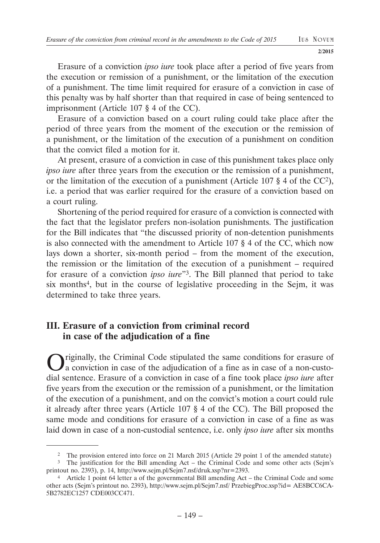Erasure of a conviction *ipso iure* took place after a period of five years from the execution or remission of a punishment, or the limitation of the execution of a punishment. The time limit required for erasure of a conviction in case of this penalty was by half shorter than that required in case of being sentenced to imprisonment (Article 107 § 4 of the CC).

Erasure of a conviction based on a court ruling could take place after the period of three years from the moment of the execution or the remission of a punishment, or the limitation of the execution of a punishment on condition that the convict filed a motion for it.

At present, erasure of a conviction in case of this punishment takes place only *ipso iure* after three years from the execution or the remission of a punishment, or the limitation of the execution of a punishment (Article 107 § 4 of the CC2), i.e. a period that was earlier required for the erasure of a conviction based on a court ruling.

Shortening of the period required for erasure of a conviction is connected with the fact that the legislator prefers non-isolation punishments. The justification for the Bill indicates that "the discussed priority of non-detention punishments is also connected with the amendment to Article 107 § 4 of the CC, which now lays down a shorter, six-month period – from the moment of the execution, the remission or the limitation of the execution of a punishment – required for erasure of a conviction *ipso iure*"3. The Bill planned that period to take six months4, but in the course of legislative proceeding in the Sejm, it was determined to take three years.

## **III. Erasure of a conviction from criminal record in case of the adjudication of a fine**

Originally, the Criminal Code stipulated the same conditions for erasure of a conviction in case of the adjudication of a fine as in case of a non-custodial sentence. Erasure of a conviction in case of a fine took place *ipso iure* after five years from the execution or the remission of a punishment, or the limitation of the execution of a punishment, and on the convict's motion a court could rule it already after three years (Article 107 § 4 of the CC). The Bill proposed the same mode and conditions for erasure of a conviction in case of a fine as was laid down in case of a non-custodial sentence, i.e. only *ipso iure* after six months

<sup>2</sup> The provision entered into force on 21 March 2015 (Article 29 point 1 of the amended statute)

<sup>&</sup>lt;sup>3</sup> The justification for the Bill amending Act – the Criminal Code and some other acts (Sejm's printout no. 2393), p. 14, http://www.sejm.pl/Sejm7.nsf/druk.xsp?nr=2393.

<sup>4</sup> Article 1 point 64 letter a of the governmental Bill amending Act – the Criminal Code and some other acts (Sejm's printout no. 2393), http://www.sejm.pl/Sejm7.nsf/ PrzebiegProc.xsp?id= AE8BCC6CA-5B2782EC1257 CDE003CC471.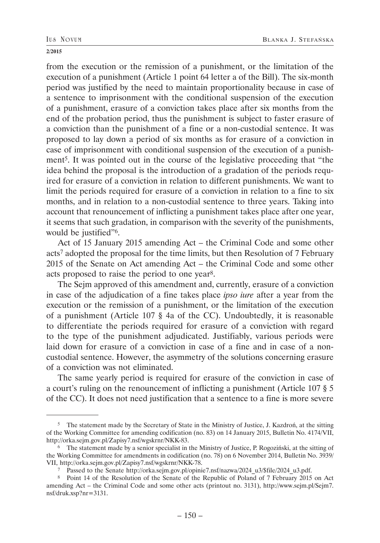from the execution or the remission of a punishment, or the limitation of the execution of a punishment (Article 1 point 64 letter a of the Bill). The six-month period was justified by the need to maintain proportionality because in case of a sentence to imprisonment with the conditional suspension of the execution of a punishment, erasure of a conviction takes place after six months from the end of the probation period, thus the punishment is subject to faster erasure of a conviction than the punishment of a fine or a non-custodial sentence. It was proposed to lay down a period of six months as for erasure of a conviction in case of imprisonment with conditional suspension of the execution of a punishment5. It was pointed out in the course of the legislative proceeding that "the idea behind the proposal is the introduction of a gradation of the periods required for erasure of a conviction in relation to different punishments. We want to limit the periods required for erasure of a conviction in relation to a fine to six months, and in relation to a non-custodial sentence to three years. Taking into account that renouncement of inflicting a punishment takes place after one year, it seems that such gradation, in comparison with the severity of the punishments, would be justified"6.

Act of 15 January 2015 amending Act – the Criminal Code and some other acts7 adopted the proposal for the time limits, but then Resolution of 7 February 2015 of the Senate on Act amending Act – the Criminal Code and some other acts proposed to raise the period to one year8.

The Sejm approved of this amendment and, currently, erasure of a conviction in case of the adjudication of a fine takes place *ipso iure* after a year from the execution or the remission of a punishment, or the limitation of the execution of a punishment (Article 107 § 4a of the CC). Undoubtedly, it is reasonable to differentiate the periods required for erasure of a conviction with regard to the type of the punishment adjudicated. Justifiably, various periods were laid down for erasure of a conviction in case of a fine and in case of a noncustodial sentence. However, the asymmetry of the solutions concerning erasure of a conviction was not eliminated.

The same yearly period is required for erasure of the conviction in case of a court's ruling on the renouncement of inflicting a punishment (Article 107 § 5 of the CC). It does not need justification that a sentence to a fine is more severe

<sup>5</sup> The statement made by the Secretary of State in the Ministry of Justice, J. Kazdroń, at the sitting of the Working Committee for amending codification (no. 83) on 14 January 2015, Bulletin No. 4174/VII, http://orka.sejm.gov.pl/Zapisy7.nsf/wgskrnr/NKK-83.

<sup>6</sup> The statement made by a senior specialist in the Ministry of Justice, P. Rogoziński, at the sitting of the Working Committee for amendments in codification (no. 78) on 6 November 2014, Bulletin No. 3939/ VII, http://orka.sejm.gov.pl/Zapisy7.nsf/wgskrnr/NKK-78.

<sup>7</sup> Passed to the Senate http://orka.sejm.gov.pl/opinie7.nsf/nazwa/2024\_u3/\$file/2024\_u3.pdf.

<sup>8</sup> Point 14 of the Resolution of the Senate of the Republic of Poland of 7 February 2015 on Act amending Act – the Criminal Code and some other acts (printout no. 3131), http://www.sejm.pl/Sejm7. nsf/druk.xsp?nr=3131.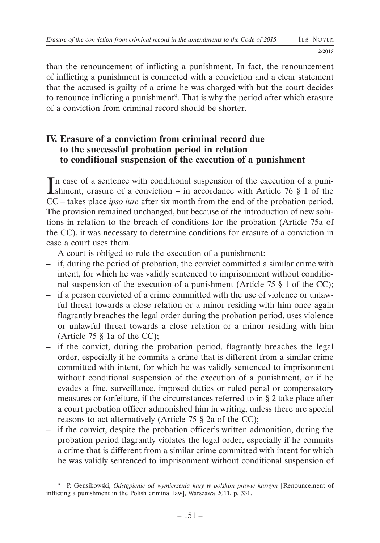than the renouncement of inflicting a punishment. In fact, the renouncement of inflicting a punishment is connected with a conviction and a clear statement that the accused is guilty of a crime he was charged with but the court decides to renounce inflicting a punishment<sup>9</sup>. That is why the period after which erasure of a conviction from criminal record should be shorter.

## **IV. Erasure of a conviction from criminal record due to the successful probation period in relation to conditional suspension of the execution of a punishment**

In case of a sentence with conditional suspension of the execution of a punishment, erasure of a conviction – in accordance with Article 76  $\S$  1 of the shment, erasure of a conviction – in accordance with Article 76 § 1 of the CC – takes place *ipso iure* after six month from the end of the probation period. The provision remained unchanged, but because of the introduction of new solutions in relation to the breach of conditions for the probation (Article 75a of the CC), it was necessary to determine conditions for erasure of a conviction in case a court uses them.

A court is obliged to rule the execution of a punishment:

- if, during the period of probation, the convict committed a similar crime with intent, for which he was validly sentenced to imprisonment without conditional suspension of the execution of a punishment (Article 75 § 1 of the CC);
- if a person convicted of a crime committed with the use of violence or unlawful threat towards a close relation or a minor residing with him once again flagrantly breaches the legal order during the probation period, uses violence or unlawful threat towards a close relation or a minor residing with him (Article 75 § 1a of the CC);
- if the convict, during the probation period, flagrantly breaches the legal order, especially if he commits a crime that is different from a similar crime committed with intent, for which he was validly sentenced to imprisonment without conditional suspension of the execution of a punishment, or if he evades a fine, surveillance, imposed duties or ruled penal or compensatory measures or forfeiture, if the circumstances referred to in § 2 take place after a court probation officer admonished him in writing, unless there are special reasons to act alternatively (Article 75 § 2a of the CC);
- if the convict, despite the probation officer's written admonition, during the probation period flagrantly violates the legal order, especially if he commits a crime that is different from a similar crime committed with intent for which he was validly sentenced to imprisonment without conditional suspension of

<sup>9</sup> P. Gensikowski, *Odstąpienie od wymierzenia kary w polskim prawie karnym* [Renouncement of inflicting a punishment in the Polish criminal law], Warszawa 2011, p. 331.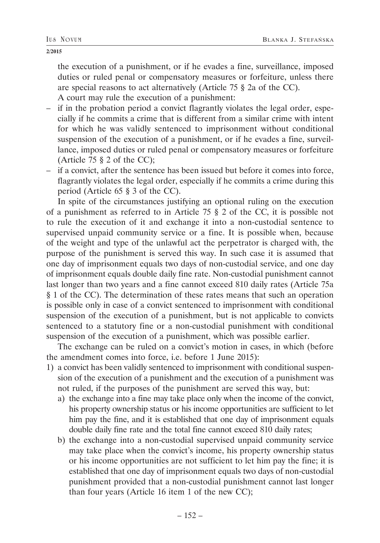the execution of a punishment, or if he evades a fine, surveillance, imposed duties or ruled penal or compensatory measures or forfeiture, unless there are special reasons to act alternatively (Article 75 § 2a of the CC). A court may rule the execution of a punishment:

- if in the probation period a convict flagrantly violates the legal order, especially if he commits a crime that is different from a similar crime with intent for which he was validly sentenced to imprisonment without conditional suspension of the execution of a punishment, or if he evades a fine, surveillance, imposed duties or ruled penal or compensatory measures or forfeiture (Article 75 § 2 of the CC);
- if a convict, after the sentence has been issued but before it comes into force, flagrantly violates the legal order, especially if he commits a crime during this period (Article 65 § 3 of the CC).

In spite of the circumstances justifying an optional ruling on the execution of a punishment as referred to in Article 75 § 2 of the CC, it is possible not to rule the execution of it and exchange it into a non-custodial sentence to supervised unpaid community service or a fine. It is possible when, because of the weight and type of the unlawful act the perpetrator is charged with, the purpose of the punishment is served this way. In such case it is assumed that one day of imprisonment equals two days of non-custodial service, and one day of imprisonment equals double daily fine rate. Non-custodial punishment cannot last longer than two years and a fine cannot exceed 810 daily rates (Article 75a § 1 of the CC). The determination of these rates means that such an operation is possible only in case of a convict sentenced to imprisonment with conditional suspension of the execution of a punishment, but is not applicable to convicts sentenced to a statutory fine or a non-custodial punishment with conditional suspension of the execution of a punishment, which was possible earlier.

The exchange can be ruled on a convict's motion in cases, in which (before the amendment comes into force, i.e. before 1 June 2015):

- 1) a convict has been validly sentenced to imprisonment with conditional suspension of the execution of a punishment and the execution of a punishment was not ruled, if the purposes of the punishment are served this way, but:
	- a) the exchange into a fine may take place only when the income of the convict, his property ownership status or his income opportunities are sufficient to let him pay the fine, and it is established that one day of imprisonment equals double daily fine rate and the total fine cannot exceed 810 daily rates;
	- b) the exchange into a non-custodial supervised unpaid community service may take place when the convict's income, his property ownership status or his income opportunities are not sufficient to let him pay the fine; it is established that one day of imprisonment equals two days of non-custodial punishment provided that a non-custodial punishment cannot last longer than four years (Article 16 item 1 of the new CC);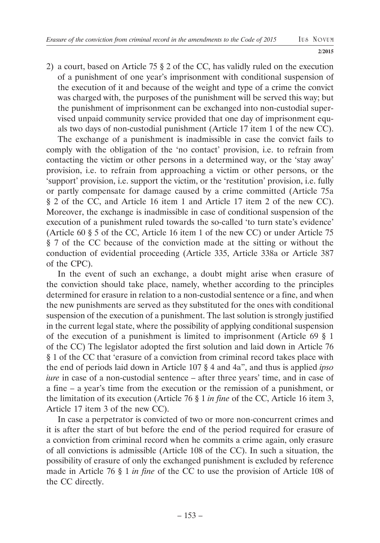2) a court, based on Article 75 § 2 of the CC, has validly ruled on the execution of a punishment of one year's imprisonment with conditional suspension of the execution of it and because of the weight and type of a crime the convict was charged with, the purposes of the punishment will be served this way; but the punishment of imprisonment can be exchanged into non-custodial supervised unpaid community service provided that one day of imprisonment equals two days of non-custodial punishment (Article 17 item 1 of the new CC).

The exchange of a punishment is inadmissible in case the convict fails to comply with the obligation of the 'no contact' provision, i.e. to refrain from contacting the victim or other persons in a determined way, or the 'stay away' provision, i.e. to refrain from approaching a victim or other persons, or the 'support' provision, i.e. support the victim, or the 'restitution' provision, i.e. fully or partly compensate for damage caused by a crime committed (Article 75a § 2 of the CC, and Article 16 item 1 and Article 17 item 2 of the new CC). Moreover, the exchange is inadmissible in case of conditional suspension of the execution of a punishment ruled towards the so-called 'to turn state's evidence' (Article 60 § 5 of the CC, Article 16 item 1 of the new CC) or under Article 75 § 7 of the CC because of the conviction made at the sitting or without the conduction of evidential proceeding (Article 335, Article 338a or Article 387 of the CPC).

In the event of such an exchange, a doubt might arise when erasure of the conviction should take place, namely, whether according to the principles determined for erasure in relation to a non-custodial sentence or a fine, and when the new punishments are served as they substituted for the ones with conditional suspension of the execution of a punishment. The last solution is strongly justified in the current legal state, where the possibility of applying conditional suspension of the execution of a punishment is limited to imprisonment (Article 69 § 1 of the CC) The legislator adopted the first solution and laid down in Article 76 § 1 of the CC that 'erasure of a conviction from criminal record takes place with the end of periods laid down in Article 107 § 4 and 4a", and thus is applied *ipso iure* in case of a non-custodial sentence – after three years' time, and in case of a fine – a year's time from the execution or the remission of a punishment, or the limitation of its execution (Article 76 § 1 *in fine* of the CC, Article 16 item 3, Article 17 item 3 of the new CC).

In case a perpetrator is convicted of two or more non-concurrent crimes and it is after the start of but before the end of the period required for erasure of a conviction from criminal record when he commits a crime again, only erasure of all convictions is admissible (Article 108 of the CC). In such a situation, the possibility of erasure of only the exchanged punishment is excluded by reference made in Article 76 § 1 *in fine* of the CC to use the provision of Article 108 of the CC directly.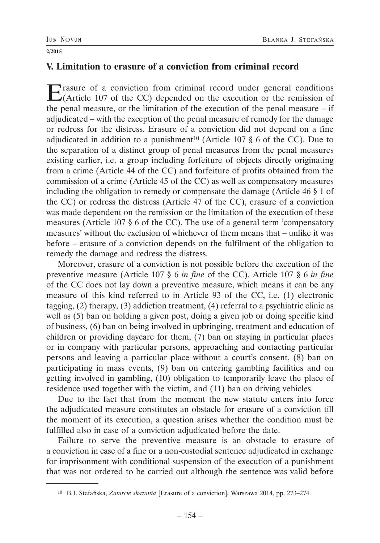## **V. Limitation to erasure of a conviction from criminal record**

Erasure of a conviction from criminal record under general conditions (Article 107 of the CC) depended on the execution or the remission of the penal measure, or the limitation of the execution of the penal measure – if adjudicated – with the exception of the penal measure of remedy for the damage or redress for the distress. Erasure of a conviction did not depend on a fine adjudicated in addition to a punishment<sup>10</sup> (Article 107  $\S$  6 of the CC). Due to the separation of a distinct group of penal measures from the penal measures existing earlier, i.e. a group including forfeiture of objects directly originating from a crime (Article 44 of the CC) and forfeiture of profits obtained from the commission of a crime (Article 45 of the CC) as well as compensatory measures including the obligation to remedy or compensate the damage (Article 46 § 1 of the CC) or redress the distress (Article 47 of the CC), erasure of a conviction was made dependent on the remission or the limitation of the execution of these measures (Article 107 § 6 of the CC). The use of a general term 'compensatory measures' without the exclusion of whichever of them means that – unlike it was before – erasure of a conviction depends on the fulfilment of the obligation to remedy the damage and redress the distress.

Moreover, erasure of a conviction is not possible before the execution of the preventive measure (Article 107 § 6 *in fine* of the CC). Article 107 § 6 *in fine*  of the CC does not lay down a preventive measure, which means it can be any measure of this kind referred to in Article 93 of the CC, i.e. (1) electronic tagging, (2) therapy, (3) addiction treatment, (4) referral to a psychiatric clinic as well as (5) ban on holding a given post, doing a given job or doing specific kind of business, (6) ban on being involved in upbringing, treatment and education of children or providing daycare for them, (7) ban on staying in particular places or in company with particular persons, approaching and contacting particular persons and leaving a particular place without a court's consent, (8) ban on participating in mass events, (9) ban on entering gambling facilities and on getting involved in gambling, (10) obligation to temporarily leave the place of residence used together with the victim, and (11) ban on driving vehicles.

Due to the fact that from the moment the new statute enters into force the adjudicated measure constitutes an obstacle for erasure of a conviction till the moment of its execution, a question arises whether the condition must be fulfilled also in case of a conviction adjudicated before the date.

Failure to serve the preventive measure is an obstacle to erasure of a conviction in case of a fine or a non-custodial sentence adjudicated in exchange for imprisonment with conditional suspension of the execution of a punishment that was not ordered to be carried out although the sentence was valid before

<sup>10</sup> B.J. Stefańska, *Zatarcie skazania* [Erasure of a conviction], Warszawa 2014, pp. 273–274.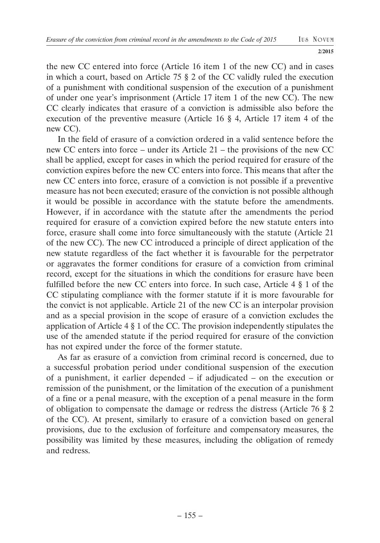the new CC entered into force (Article 16 item 1 of the new CC) and in cases in which a court, based on Article 75 § 2 of the CC validly ruled the execution of a punishment with conditional suspension of the execution of a punishment of under one year's imprisonment (Article 17 item 1 of the new CC). The new CC clearly indicates that erasure of a conviction is admissible also before the execution of the preventive measure (Article 16 § 4, Article 17 item 4 of the new CC).

In the field of erasure of a conviction ordered in a valid sentence before the new CC enters into force – under its Article 21 – the provisions of the new CC shall be applied, except for cases in which the period required for erasure of the conviction expires before the new CC enters into force. This means that after the new CC enters into force, erasure of a conviction is not possible if a preventive measure has not been executed; erasure of the conviction is not possible although it would be possible in accordance with the statute before the amendments. However, if in accordance with the statute after the amendments the period required for erasure of a conviction expired before the new statute enters into force, erasure shall come into force simultaneously with the statute (Article 21 of the new CC). The new CC introduced a principle of direct application of the new statute regardless of the fact whether it is favourable for the perpetrator or aggravates the former conditions for erasure of a conviction from criminal record, except for the situations in which the conditions for erasure have been fulfilled before the new CC enters into force. In such case, Article 4 § 1 of the CC stipulating compliance with the former statute if it is more favourable for the convict is not applicable. Article 21 of the new CC is an interpolar provision and as a special provision in the scope of erasure of a conviction excludes the application of Article 4 § 1 of the CC. The provision independently stipulates the use of the amended statute if the period required for erasure of the conviction has not expired under the force of the former statute.

As far as erasure of a conviction from criminal record is concerned, due to a successful probation period under conditional suspension of the execution of a punishment, it earlier depended – if adjudicated – on the execution or remission of the punishment, or the limitation of the execution of a punishment of a fine or a penal measure, with the exception of a penal measure in the form of obligation to compensate the damage or redress the distress (Article 76 § 2 of the CC). At present, similarly to erasure of a conviction based on general provisions, due to the exclusion of forfeiture and compensatory measures, the possibility was limited by these measures, including the obligation of remedy and redress.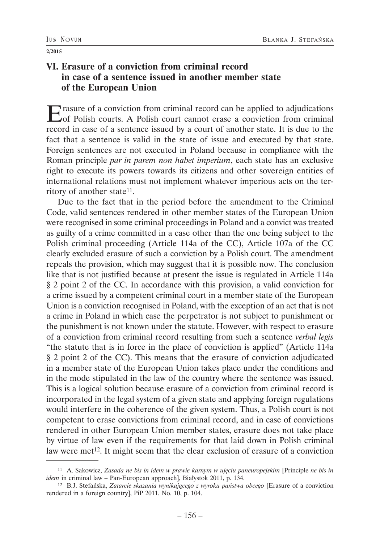# **VI. Erasure of a conviction from criminal record in case of a sentence issued in another member state of the European Union**

Erasure of a conviction from criminal record can be applied to adjudications<br>
of Polish courts. A Polish court cannot erase a conviction from criminal record in case of a sentence issued by a court of another state. It is due to the fact that a sentence is valid in the state of issue and executed by that state. Foreign sentences are not executed in Poland because in compliance with the Roman principle *par in parem non habet imperium*, each state has an exclusive right to execute its powers towards its citizens and other sovereign entities of international relations must not implement whatever imperious acts on the territory of another state<sup>11</sup>.

Due to the fact that in the period before the amendment to the Criminal Code, valid sentences rendered in other member states of the European Union were recognised in some criminal proceedings in Poland and a convict was treated as guilty of a crime committed in a case other than the one being subject to the Polish criminal proceeding (Article 114a of the CC), Article 107a of the CC clearly excluded erasure of such a conviction by a Polish court. The amendment repeals the provision, which may suggest that it is possible now. The conclusion like that is not justified because at present the issue is regulated in Article 114a § 2 point 2 of the CC. In accordance with this provision, a valid conviction for a crime issued by a competent criminal court in a member state of the European Union is a conviction recognised in Poland, with the exception of an act that is not a crime in Poland in which case the perpetrator is not subject to punishment or the punishment is not known under the statute. However, with respect to erasure of a conviction from criminal record resulting from such a sentence *verbal legis* "the statute that is in force in the place of conviction is applied" (Article 114a § 2 point 2 of the CC). This means that the erasure of conviction adjudicated in a member state of the European Union takes place under the conditions and in the mode stipulated in the law of the country where the sentence was issued. This is a logical solution because erasure of a conviction from criminal record is incorporated in the legal system of a given state and applying foreign regulations would interfere in the coherence of the given system. Thus, a Polish court is not competent to erase convictions from criminal record, and in case of convictions rendered in other European Union member states, erasure does not take place by virtue of law even if the requirements for that laid down in Polish criminal law were met<sup>12</sup>. It might seem that the clear exclusion of erasure of a conviction

<sup>11</sup> A. Sakowicz, *Zasada ne bis in idem w prawie karnym w ujęciu paneuropejskim* [Principle *ne bis in idem* in criminal law – Pan-European approach], Białystok 2011, p. 134.

<sup>12</sup> B.J. Stefańska, *Zatarcie skazania wynikającego z wyroku państwa obcego* [Erasure of a conviction rendered in a foreign country], PiP 2011, No. 10, p. 104.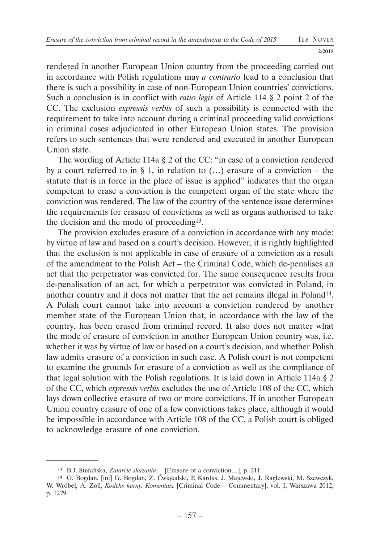**2/2015**

rendered in another European Union country from the proceeding carried out in accordance with Polish regulations may *a contrario* lead to a conclusion that there is such a possibility in case of non-European Union countries' convictions. Such a conclusion is in conflict with *ratio legis* of Article 114 § 2 point 2 of the CC. The exclusion *expressis verbis* of such a possibility is connected with the requirement to take into account during a criminal proceeding valid convictions in criminal cases adjudicated in other European Union states. The provision refers to such sentences that were rendered and executed in another European Union state.

The wording of Article 114a § 2 of the CC: "in case of a conviction rendered by a court referred to in § 1, in relation to  $(...)$  erasure of a conviction – the statute that is in force in the place of issue is applied" indicates that the organ competent to erase a conviction is the competent organ of the state where the conviction was rendered. The law of the country of the sentence issue determines the requirements for erasure of convictions as well as organs authorised to take the decision and the mode of proceeding13.

The provision excludes erasure of a conviction in accordance with any mode: by virtue of law and based on a court's decision. However, it is rightly highlighted that the exclusion is not applicable in case of erasure of a conviction as a result of the amendment to the Polish Act – the Criminal Code, which de-penalises an act that the perpetrator was convicted for. The same consequence results from de-penalisation of an act, for which a perpetrator was convicted in Poland, in another country and it does not matter that the act remains illegal in Poland14. A Polish court cannot take into account a conviction rendered by another member state of the European Union that, in accordance with the law of the country, has been erased from criminal record. It also does not matter what the mode of erasure of conviction in another European Union country was, i.e. whether it was by virtue of law or based on a court's decision, and whether Polish law admits erasure of a conviction in such case. A Polish court is not competent to examine the grounds for erasure of a conviction as well as the compliance of that legal solution with the Polish regulations. It is laid down in Article 114a § 2 of the CC, which *expressis verbis* excludes the use of Article 108 of the CC, which lays down collective erasure of two or more convictions. If in another European Union country erasure of one of a few convictions takes place, although it would be impossible in accordance with Article 108 of the CC, a Polish court is obliged to acknowledge erasure of one conviction.

<sup>13</sup> B.J. Stefańska, *Zatarcie skazania…* [Erasure of a conviction…], p. 211.

<sup>14</sup> G. Bogdan, [in:] G. Bogdan, Z. Ćwiąkalski, P. Kardas, J. Majewski, J. Raglewski, M. Szewczyk, W. Wróbel, A. Zoll, *Kodeks karny. Komentarz* [Criminal Code – Commentary], vol. I, Warszawa 2012, p. 1279.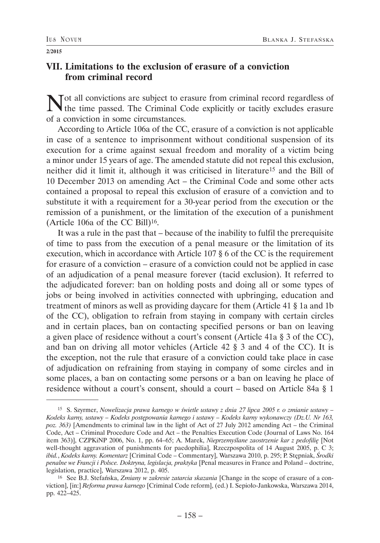## **VII. Limitations to the exclusion of erasure of a conviction from criminal record**

Not all convictions are subject to erasure from criminal record regardless of the time passed. The Criminal Code explicitly or tacitly excludes erasure of a conviction in some circumstances.

According to Article 106a of the CC, erasure of a conviction is not applicable in case of a sentence to imprisonment without conditional suspension of its execution for a crime against sexual freedom and morality of a victim being a minor under 15 years of age. The amended statute did not repeal this exclusion, neither did it limit it, although it was criticised in literature15 and the Bill of 10 December 2013 on amending Act – the Criminal Code and some other acts contained a proposal to repeal this exclusion of erasure of a conviction and to substitute it with a requirement for a 30-year period from the execution or the remission of a punishment, or the limitation of the execution of a punishment (Article 106a of the CC Bill)16.

It was a rule in the past that – because of the inability to fulfil the prerequisite of time to pass from the execution of a penal measure or the limitation of its execution, which in accordance with Article 107 § 6 of the CC is the requirement for erasure of a conviction – erasure of a conviction could not be applied in case of an adjudication of a penal measure forever (tacid exclusion). It referred to the adjudicated forever: ban on holding posts and doing all or some types of jobs or being involved in activities connected with upbringing, education and treatment of minors as well as providing daycare for them (Article 41 § 1a and 1b of the CC), obligation to refrain from staying in company with certain circles and in certain places, ban on contacting specified persons or ban on leaving a given place of residence without a court's consent (Article 41a § 3 of the CC), and ban on driving all motor vehicles (Article 42 § 3 and 4 of the CC). It is the exception, not the rule that erasure of a conviction could take place in case of adjudication on refraining from staying in company of some circles and in some places, a ban on contacting some persons or a ban on leaving he place of residence without a court's consent, should a court – based on Article 84a § 1

<sup>15</sup> S. Szyrmer, *Nowelizacja prawa karnego w świetle ustawy z dnia 27 lipca 2005 r. o zmianie ustawy – Kodeks karny, ustawy – Kodeks postępowania karnego i ustawy – Kodeks karny wykonawczy (Dz.U. Nr 163, poz. 363)* [Amendments to criminal law in the light of Act of 27 July 2012 amending Act – the Criminal Code, Act – Criminal Procedure Code and Act – the Penalties Execution Code (Journal of Laws No. 164 item 363)], CZPKiNP 2006, No. 1, pp. 64–65; A. Marek, *Nieprzemyślane zaostrzenie kar z pedofilię* [Not well-thought aggravation of punishments for paedophilia], Rzeczpospolita of 14 August 2005, p. C 3; *ibid.*, *Kodeks karny. Komentarz* [Criminal Code – Commentary], Warszawa 2010, p. 295; P. Stępniak, *Środki penalne we Francji i Polsce. Doktryna, legislacja, praktyka* [Penal measures in France and Poland – doctrine, legislation, practice], Warszawa 2012, p. 405.

<sup>16</sup> See B.J. Stefańska, *Zmiany w zakresie zatarcia skazania* [Change in the scope of erasure of a conviction], [in:] *Reforma prawa karnego* [Criminal Code reform], (ed.) I. Sepioło-Jankowska, Warszawa 2014, pp. 422–425.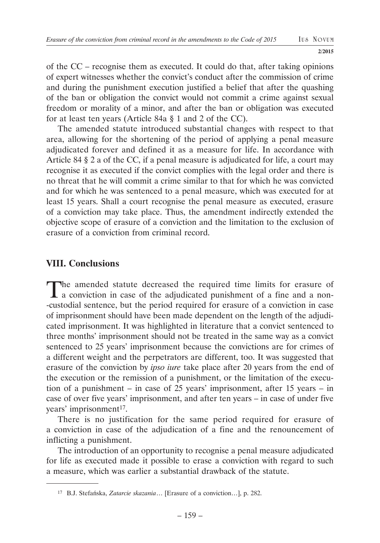of the CC – recognise them as executed. It could do that, after taking opinions of expert witnesses whether the convict's conduct after the commission of crime and during the punishment execution justified a belief that after the quashing of the ban or obligation the convict would not commit a crime against sexual freedom or morality of a minor, and after the ban or obligation was executed for at least ten years (Article 84a § 1 and 2 of the CC).

The amended statute introduced substantial changes with respect to that area, allowing for the shortening of the period of applying a penal measure adjudicated forever and defined it as a measure for life. In accordance with Article 84 § 2 a of the CC, if a penal measure is adjudicated for life, a court may recognise it as executed if the convict complies with the legal order and there is no threat that he will commit a crime similar to that for which he was convicted and for which he was sentenced to a penal measure, which was executed for at least 15 years. Shall a court recognise the penal measure as executed, erasure of a conviction may take place. Thus, the amendment indirectly extended the objective scope of erasure of a conviction and the limitation to the exclusion of erasure of a conviction from criminal record.

### **VIII. Conclusions**

The amended statute decreased the required time limits for erasure of a conviction in case of the adjudicated punishment of a fine and a non- -custodial sentence, but the period required for erasure of a conviction in case of imprisonment should have been made dependent on the length of the adjudicated imprisonment. It was highlighted in literature that a convict sentenced to three months' imprisonment should not be treated in the same way as a convict sentenced to 25 years' imprisonment because the convictions are for crimes of a different weight and the perpetrators are different, too. It was suggested that erasure of the conviction by *ipso iure* take place after 20 years from the end of the execution or the remission of a punishment, or the limitation of the execution of a punishment – in case of 25 years' imprisonment, after 15 years – in case of over five years' imprisonment, and after ten years – in case of under five years' imprisonment<sup>17</sup>.

There is no justification for the same period required for erasure of a conviction in case of the adjudication of a fine and the renouncement of inflicting a punishment.

The introduction of an opportunity to recognise a penal measure adjudicated for life as executed made it possible to erase a conviction with regard to such a measure, which was earlier a substantial drawback of the statute.

<sup>17</sup> B.J. Stefańska, *Zatarcie skazania*… [Erasure of a conviction…], p. 282.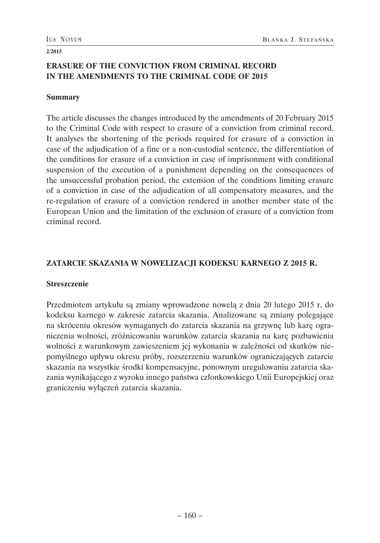### **ERASURE OF THE CONVICTION FROM CRIMINAL RECORD IN THE AMENDMENTS TO THE CRIMINAL CODE OF 2015**

#### **Summary**

The article discusses the changes introduced by the amendments of 20 February 2015 to the Criminal Code with respect to erasure of a conviction from criminal record. It analyses the shortening of the periods required for erasure of a conviction in case of the adjudication of a fine or a non-custodial sentence, the differentiation of the conditions for erasure of a conviction in case of imprisonment with conditional suspension of the execution of a punishment depending on the consequences of the unsuccessful probation period, the extension of the conditions limiting erasure of a conviction in case of the adjudication of all compensatory measures, and the re-regulation of erasure of a conviction rendered in another member state of the European Union and the limitation of the exclusion of erasure of a conviction from criminal record.

### **ZATARCIE SKAZANIA W NOWELIZACJI KODEKSU KARNEGO Z 2015 R.**

### **Streszczenie**

Przedmiotem artykułu są zmiany wprowadzone nowelą z dnia 20 lutego 2015 r. do kodeksu karnego w zakresie zatarcia skazania. Analizowane są zmiany polegające na skróceniu okresów wymaganych do zatarcia skazania na grzywnę lub karę ograniczenia wolności, zróżnicowaniu warunków zatarcia skazania na karę pozbawienia wolności z warunkowym zawieszeniem jej wykonania w zależności od skutków niepomyślnego upływu okresu próby, rozszerzeniu warunków ograniczających zatarcie skazania na wszystkie środki kompensacyjne, ponownym uregulowaniu zatarcia skazania wynikającego z wyroku innego państwa członkowskiego Unii Europejskiej oraz graniczeniu wyłączeń zatarcia skazania.